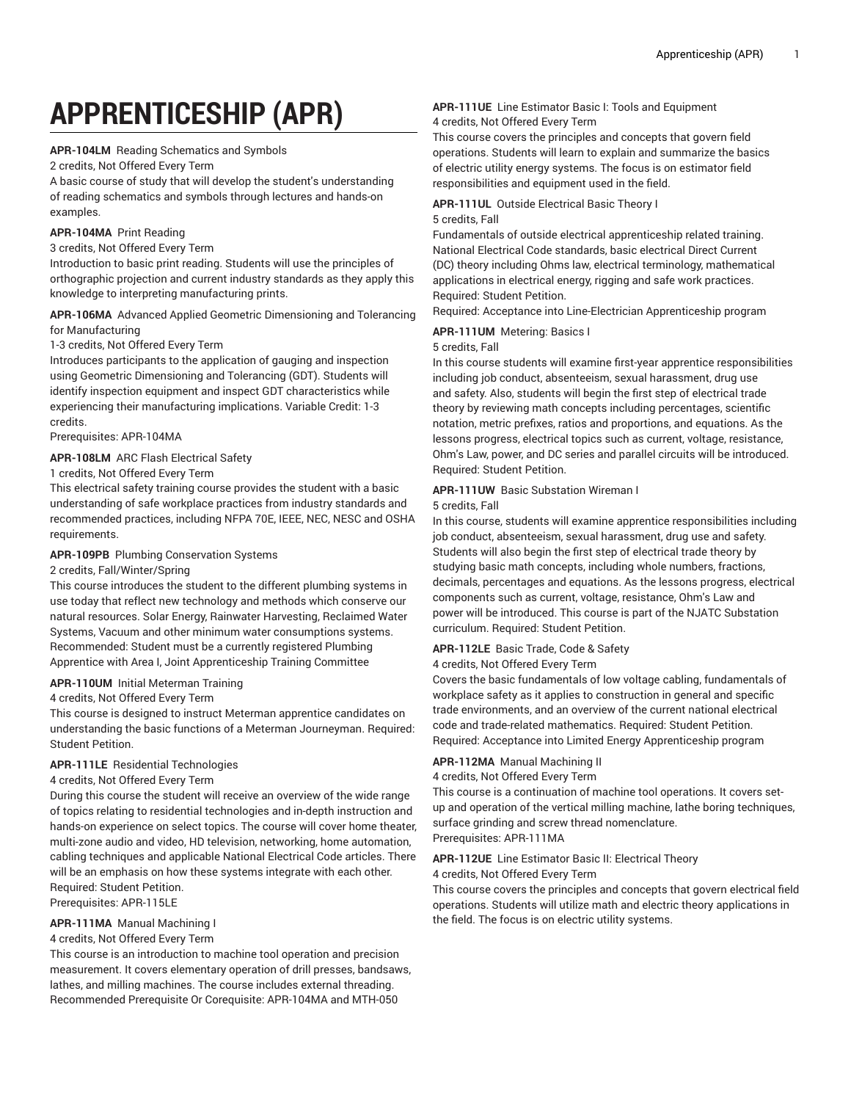# **APPRENTICESHIP (APR)**

**APR-104LM** Reading Schematics and Symbols

2 credits, Not Offered Every Term

A basic course of study that will develop the student's understanding of reading schematics and symbols through lectures and hands-on examples.

### **APR-104MA** Print Reading

3 credits, Not Offered Every Term

Introduction to basic print reading. Students will use the principles of orthographic projection and current industry standards as they apply this knowledge to interpreting manufacturing prints.

### **APR-106MA** Advanced Applied Geometric Dimensioning and Tolerancing for Manufacturing

1-3 credits, Not Offered Every Term

Introduces participants to the application of gauging and inspection using Geometric Dimensioning and Tolerancing (GDT). Students will identify inspection equipment and inspect GDT characteristics while experiencing their manufacturing implications. Variable Credit: 1-3 credits.

Prerequisites: APR-104MA

### **APR-108LM** ARC Flash Electrical Safety

# 1 credits, Not Offered Every Term

This electrical safety training course provides the student with a basic understanding of safe workplace practices from industry standards and recommended practices, including NFPA 70E, IEEE, NEC, NESC and OSHA requirements.

# **APR-109PB** Plumbing Conservation Systems

### 2 credits, Fall/Winter/Spring

This course introduces the student to the different plumbing systems in use today that reflect new technology and methods which conserve our natural resources. Solar Energy, Rainwater Harvesting, Reclaimed Water Systems, Vacuum and other minimum water consumptions systems. Recommended: Student must be a currently registered Plumbing Apprentice with Area I, Joint Apprenticeship Training Committee

### **APR-110UM** Initial Meterman Training

### 4 credits, Not Offered Every Term

This course is designed to instruct Meterman apprentice candidates on understanding the basic functions of a Meterman Journeyman. Required: Student Petition.

# **APR-111LE** Residential Technologies

### 4 credits, Not Offered Every Term

During this course the student will receive an overview of the wide range of topics relating to residential technologies and in-depth instruction and hands-on experience on select topics. The course will cover home theater, multi-zone audio and video, HD television, networking, home automation, cabling techniques and applicable National Electrical Code articles. There will be an emphasis on how these systems integrate with each other. Required: Student Petition.

Prerequisites: APR-115LE

### **APR-111MA** Manual Machining I

### 4 credits, Not Offered Every Term

This course is an introduction to machine tool operation and precision measurement. It covers elementary operation of drill presses, bandsaws, lathes, and milling machines. The course includes external threading. Recommended Prerequisite Or Corequisite: APR-104MA and MTH-050

### **APR-111UE** Line Estimator Basic I: Tools and Equipment 4 credits, Not Offered Every Term

This course covers the principles and concepts that govern field operations. Students will learn to explain and summarize the basics of electric utility energy systems. The focus is on estimator field responsibilities and equipment used in the field.

### **APR-111UL** Outside Electrical Basic Theory I 5 credits, Fall

Fundamentals of outside electrical apprenticeship related training. National Electrical Code standards, basic electrical Direct Current (DC) theory including Ohms law, electrical terminology, mathematical applications in electrical energy, rigging and safe work practices. Required: Student Petition.

Required: Acceptance into Line-Electrician Apprenticeship program

### **APR-111UM** Metering: Basics I

### 5 credits, Fall

In this course students will examine first-year apprentice responsibilities including job conduct, absenteeism, sexual harassment, drug use and safety. Also, students will begin the first step of electrical trade theory by reviewing math concepts including percentages, scientific notation, metric prefixes, ratios and proportions, and equations. As the lessons progress, electrical topics such as current, voltage, resistance, Ohm's Law, power, and DC series and parallel circuits will be introduced. Required: Student Petition.

# **APR-111UW** Basic Substation Wireman I

#### 5 credits, Fall

In this course, students will examine apprentice responsibilities including job conduct, absenteeism, sexual harassment, drug use and safety. Students will also begin the first step of electrical trade theory by studying basic math concepts, including whole numbers, fractions, decimals, percentages and equations. As the lessons progress, electrical components such as current, voltage, resistance, Ohm's Law and power will be introduced. This course is part of the NJATC Substation curriculum. Required: Student Petition.

### **APR-112LE** Basic Trade, Code & Safety

### 4 credits, Not Offered Every Term

Covers the basic fundamentals of low voltage cabling, fundamentals of workplace safety as it applies to construction in general and specific trade environments, and an overview of the current national electrical code and trade-related mathematics. Required: Student Petition. Required: Acceptance into Limited Energy Apprenticeship program

### **APR-112MA** Manual Machining II

4 credits, Not Offered Every Term

This course is a continuation of machine tool operations. It covers setup and operation of the vertical milling machine, lathe boring techniques, surface grinding and screw thread nomenclature. Prerequisites: APR-111MA

### **APR-112UE** Line Estimator Basic II: Electrical Theory

4 credits, Not Offered Every Term

This course covers the principles and concepts that govern electrical field operations. Students will utilize math and electric theory applications in the field. The focus is on electric utility systems.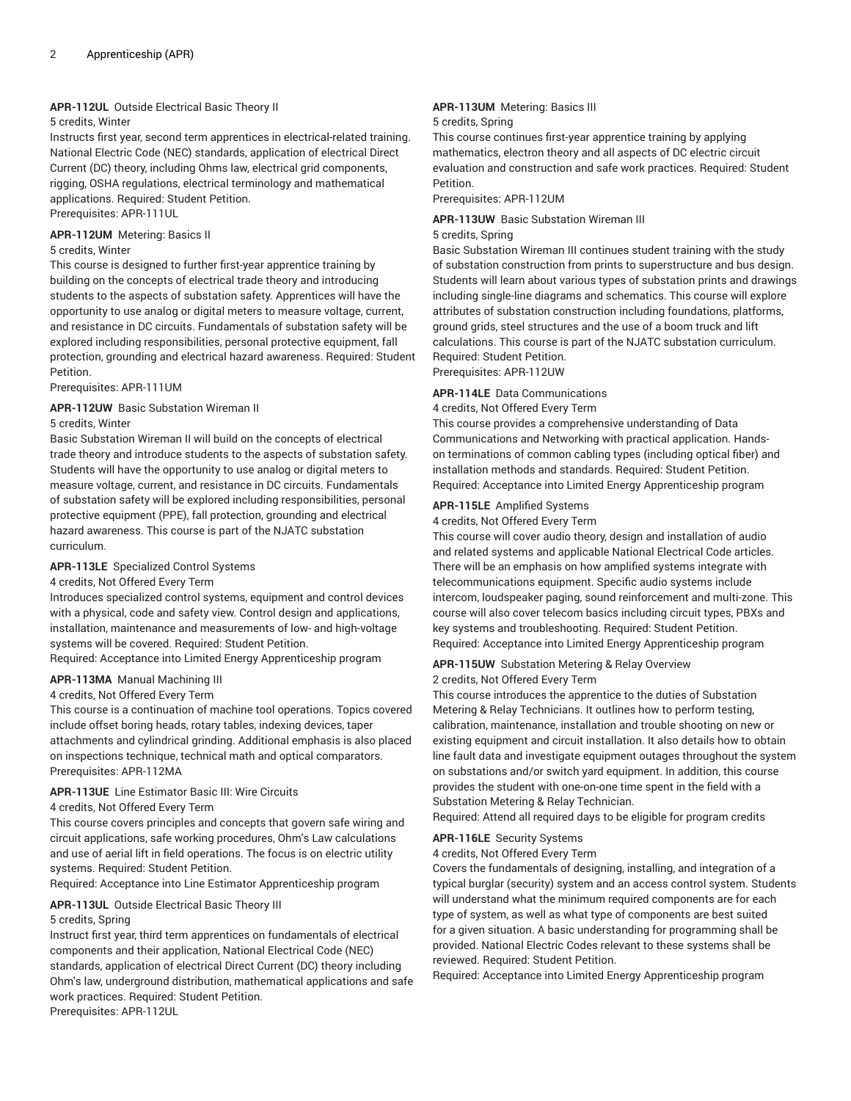# **APR-112UL** Outside Electrical Basic Theory II

# 5 credits, Winter

Instructs first year, second term apprentices in electrical-related training. National Electric Code (NEC) standards, application of electrical Direct Current (DC) theory, including Ohms law, electrical grid components, rigging, OSHA regulations, electrical terminology and mathematical applications. Required: Student Petition.

Prerequisites: APR-111UL

### **APR-112UM** Metering: Basics II

## 5 credits, Winter

This course is designed to further first-year apprentice training by building on the concepts of electrical trade theory and introducing students to the aspects of substation safety. Apprentices will have the opportunity to use analog or digital meters to measure voltage, current, and resistance in DC circuits. Fundamentals of substation safety will be explored including responsibilities, personal protective equipment, fall protection, grounding and electrical hazard awareness. Required: Student Petition.

Prerequisites: APR-111UM

### **APR-112UW** Basic Substation Wireman II 5 credits, Winter

Basic Substation Wireman II will build on the concepts of electrical trade theory and introduce students to the aspects of substation safety. Students will have the opportunity to use analog or digital meters to measure voltage, current, and resistance in DC circuits. Fundamentals of substation safety will be explored including responsibilities, personal protective equipment (PPE), fall protection, grounding and electrical hazard awareness. This course is part of the NJATC substation curriculum.

# **APR-113LE** Specialized Control Systems

4 credits, Not Offered Every Term

Introduces specialized control systems, equipment and control devices with a physical, code and safety view. Control design and applications, installation, maintenance and measurements of low- and high-voltage systems will be covered. Required: Student Petition.

Required: Acceptance into Limited Energy Apprenticeship program

# **APR-113MA** Manual Machining III

4 credits, Not Offered Every Term

This course is a continuation of machine tool operations. Topics covered include offset boring heads, rotary tables, indexing devices, taper attachments and cylindrical grinding. Additional emphasis is also placed on inspections technique, technical math and optical comparators. Prerequisites: APR-112MA

### **APR-113UE** Line Estimator Basic III: Wire Circuits

4 credits, Not Offered Every Term

This course covers principles and concepts that govern safe wiring and circuit applications, safe working procedures, Ohm's Law calculations and use of aerial lift in field operations. The focus is on electric utility systems. Required: Student Petition.

Required: Acceptance into Line Estimator Apprenticeship program

### **APR-113UL** Outside Electrical Basic Theory III

### 5 credits, Spring

Instruct first year, third term apprentices on fundamentals of electrical components and their application, National Electrical Code (NEC) standards, application of electrical Direct Current (DC) theory including Ohm's law, underground distribution, mathematical applications and safe work practices. Required: Student Petition. Prerequisites: APR-112UL

# **APR-113UM** Metering: Basics III

### 5 credits, Spring

This course continues first-year apprentice training by applying mathematics, electron theory and all aspects of DC electric circuit evaluation and construction and safe work practices. Required: Student Petition.

Prerequisites: APR-112UM

### **APR-113UW** Basic Substation Wireman III

### 5 credits, Spring

Basic Substation Wireman III continues student training with the study of substation construction from prints to superstructure and bus design. Students will learn about various types of substation prints and drawings including single-line diagrams and schematics. This course will explore attributes of substation construction including foundations, platforms, ground grids, steel structures and the use of a boom truck and lift calculations. This course is part of the NJATC substation curriculum. Required: Student Petition.

Prerequisites: APR-112UW

### **APR-114LE** Data Communications

# 4 credits, Not Offered Every Term

This course provides a comprehensive understanding of Data Communications and Networking with practical application. Handson terminations of common cabling types (including optical fiber) and installation methods and standards. Required: Student Petition. Required: Acceptance into Limited Energy Apprenticeship program

### **APR-115LE** Amplified Systems

4 credits, Not Offered Every Term

This course will cover audio theory, design and installation of audio and related systems and applicable National Electrical Code articles. There will be an emphasis on how amplified systems integrate with telecommunications equipment. Specific audio systems include intercom, loudspeaker paging, sound reinforcement and multi-zone. This course will also cover telecom basics including circuit types, PBXs and key systems and troubleshooting. Required: Student Petition. Required: Acceptance into Limited Energy Apprenticeship program

# **APR-115UW** Substation Metering & Relay Overview

# 2 credits, Not Offered Every Term

This course introduces the apprentice to the duties of Substation Metering & Relay Technicians. It outlines how to perform testing, calibration, maintenance, installation and trouble shooting on new or existing equipment and circuit installation. It also details how to obtain line fault data and investigate equipment outages throughout the system on substations and/or switch yard equipment. In addition, this course provides the student with one-on-one time spent in the field with a Substation Metering & Relay Technician.

Required: Attend all required days to be eligible for program credits

### **APR-116LE** Security Systems

4 credits, Not Offered Every Term

Covers the fundamentals of designing, installing, and integration of a typical burglar (security) system and an access control system. Students will understand what the minimum required components are for each type of system, as well as what type of components are best suited for a given situation. A basic understanding for programming shall be provided. National Electric Codes relevant to these systems shall be reviewed. Required: Student Petition.

Required: Acceptance into Limited Energy Apprenticeship program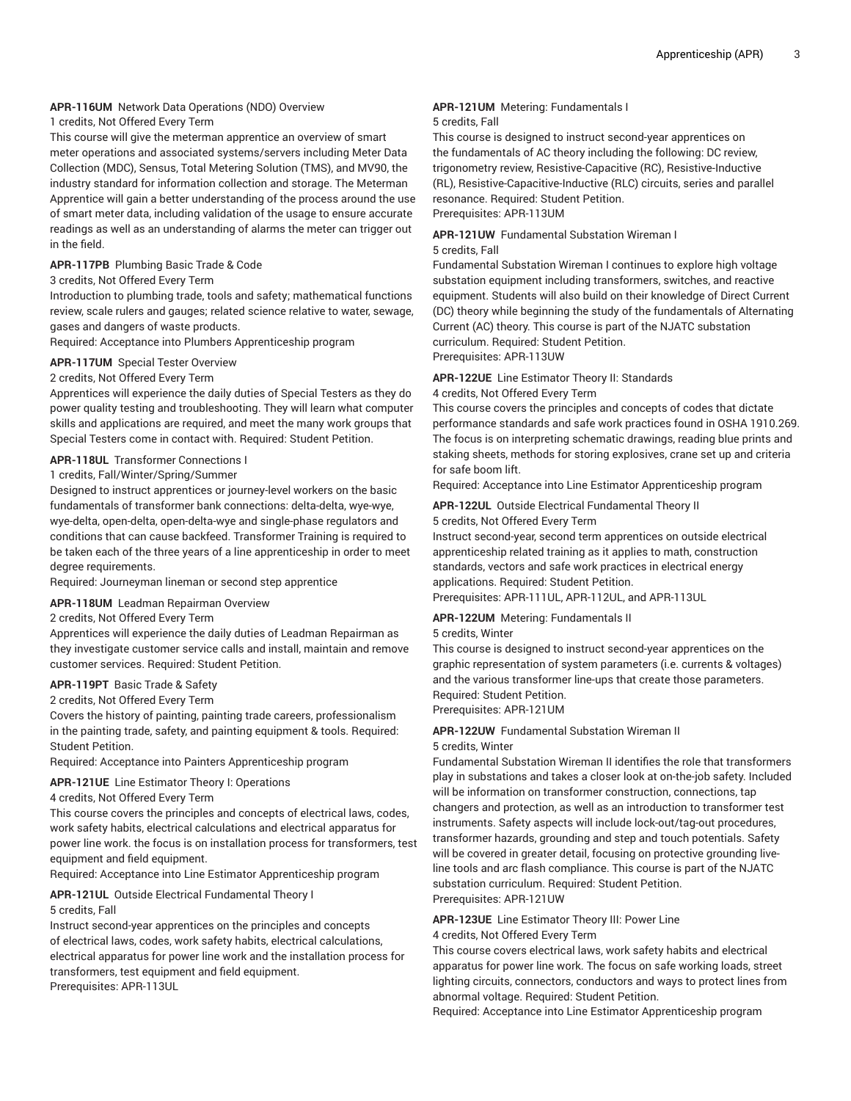# **APR-116UM** Network Data Operations (NDO) Overview

# 1 credits, Not Offered Every Term

This course will give the meterman apprentice an overview of smart meter operations and associated systems/servers including Meter Data Collection (MDC), Sensus, Total Metering Solution (TMS), and MV90, the industry standard for information collection and storage. The Meterman Apprentice will gain a better understanding of the process around the use of smart meter data, including validation of the usage to ensure accurate readings as well as an understanding of alarms the meter can trigger out in the field.

### **APR-117PB** Plumbing Basic Trade & Code

### 3 credits, Not Offered Every Term

Introduction to plumbing trade, tools and safety; mathematical functions review, scale rulers and gauges; related science relative to water, sewage, gases and dangers of waste products.

Required: Acceptance into Plumbers Apprenticeship program

### **APR-117UM** Special Tester Overview

### 2 credits, Not Offered Every Term

Apprentices will experience the daily duties of Special Testers as they do power quality testing and troubleshooting. They will learn what computer skills and applications are required, and meet the many work groups that Special Testers come in contact with. Required: Student Petition.

# **APR-118UL** Transformer Connections I

# 1 credits, Fall/Winter/Spring/Summer

Designed to instruct apprentices or journey-level workers on the basic fundamentals of transformer bank connections: delta-delta, wye-wye, wye-delta, open-delta, open-delta-wye and single-phase regulators and conditions that can cause backfeed. Transformer Training is required to be taken each of the three years of a line apprenticeship in order to meet degree requirements.

Required: Journeyman lineman or second step apprentice

# **APR-118UM** Leadman Repairman Overview

### 2 credits, Not Offered Every Term

Apprentices will experience the daily duties of Leadman Repairman as they investigate customer service calls and install, maintain and remove customer services. Required: Student Petition.

### **APR-119PT** Basic Trade & Safety

2 credits, Not Offered Every Term

Covers the history of painting, painting trade careers, professionalism in the painting trade, safety, and painting equipment & tools. Required: Student Petition.

Required: Acceptance into Painters Apprenticeship program

**APR-121UE** Line Estimator Theory I: Operations

### 4 credits, Not Offered Every Term

This course covers the principles and concepts of electrical laws, codes, work safety habits, electrical calculations and electrical apparatus for power line work. the focus is on installation process for transformers, test equipment and field equipment.

Required: Acceptance into Line Estimator Apprenticeship program

# **APR-121UL** Outside Electrical Fundamental Theory I 5 credits, Fall

Instruct second-year apprentices on the principles and concepts of electrical laws, codes, work safety habits, electrical calculations, electrical apparatus for power line work and the installation process for transformers, test equipment and field equipment. Prerequisites: APR-113UL

# **APR-121UM** Metering: Fundamentals I

### 5 credits, Fall

This course is designed to instruct second-year apprentices on the fundamentals of AC theory including the following: DC review, trigonometry review, Resistive-Capacitive (RC), Resistive-Inductive (RL), Resistive-Capacitive-Inductive (RLC) circuits, series and parallel resonance. Required: Student Petition. Prerequisites: APR-113UM

### **APR-121UW** Fundamental Substation Wireman I

## 5 credits, Fall

Fundamental Substation Wireman I continues to explore high voltage substation equipment including transformers, switches, and reactive equipment. Students will also build on their knowledge of Direct Current (DC) theory while beginning the study of the fundamentals of Alternating Current (AC) theory. This course is part of the NJATC substation curriculum. Required: Student Petition. Prerequisites: APR-113UW

### **APR-122UE** Line Estimator Theory II: Standards

4 credits, Not Offered Every Term

This course covers the principles and concepts of codes that dictate performance standards and safe work practices found in OSHA 1910.269. The focus is on interpreting schematic drawings, reading blue prints and staking sheets, methods for storing explosives, crane set up and criteria for safe boom lift.

Required: Acceptance into Line Estimator Apprenticeship program

# **APR-122UL** Outside Electrical Fundamental Theory II 5 credits, Not Offered Every Term

Instruct second-year, second term apprentices on outside electrical apprenticeship related training as it applies to math, construction standards, vectors and safe work practices in electrical energy

applications. Required: Student Petition.

Prerequisites: APR-111UL, APR-112UL, and APR-113UL

# **APR-122UM** Metering: Fundamentals II

### 5 credits, Winter

This course is designed to instruct second-year apprentices on the graphic representation of system parameters (i.e. currents & voltages) and the various transformer line-ups that create those parameters. Required: Student Petition.

# Prerequisites: APR-121UM

# **APR-122UW** Fundamental Substation Wireman II

### 5 credits, Winter

Fundamental Substation Wireman II identifies the role that transformers play in substations and takes a closer look at on-the-job safety. Included will be information on transformer construction, connections, tap changers and protection, as well as an introduction to transformer test instruments. Safety aspects will include lock-out/tag-out procedures, transformer hazards, grounding and step and touch potentials. Safety will be covered in greater detail, focusing on protective grounding liveline tools and arc flash compliance. This course is part of the NJATC substation curriculum. Required: Student Petition. Prerequisites: APR-121UW

# **APR-123UE** Line Estimator Theory III: Power Line

4 credits, Not Offered Every Term

This course covers electrical laws, work safety habits and electrical apparatus for power line work. The focus on safe working loads, street lighting circuits, connectors, conductors and ways to protect lines from abnormal voltage. Required: Student Petition.

Required: Acceptance into Line Estimator Apprenticeship program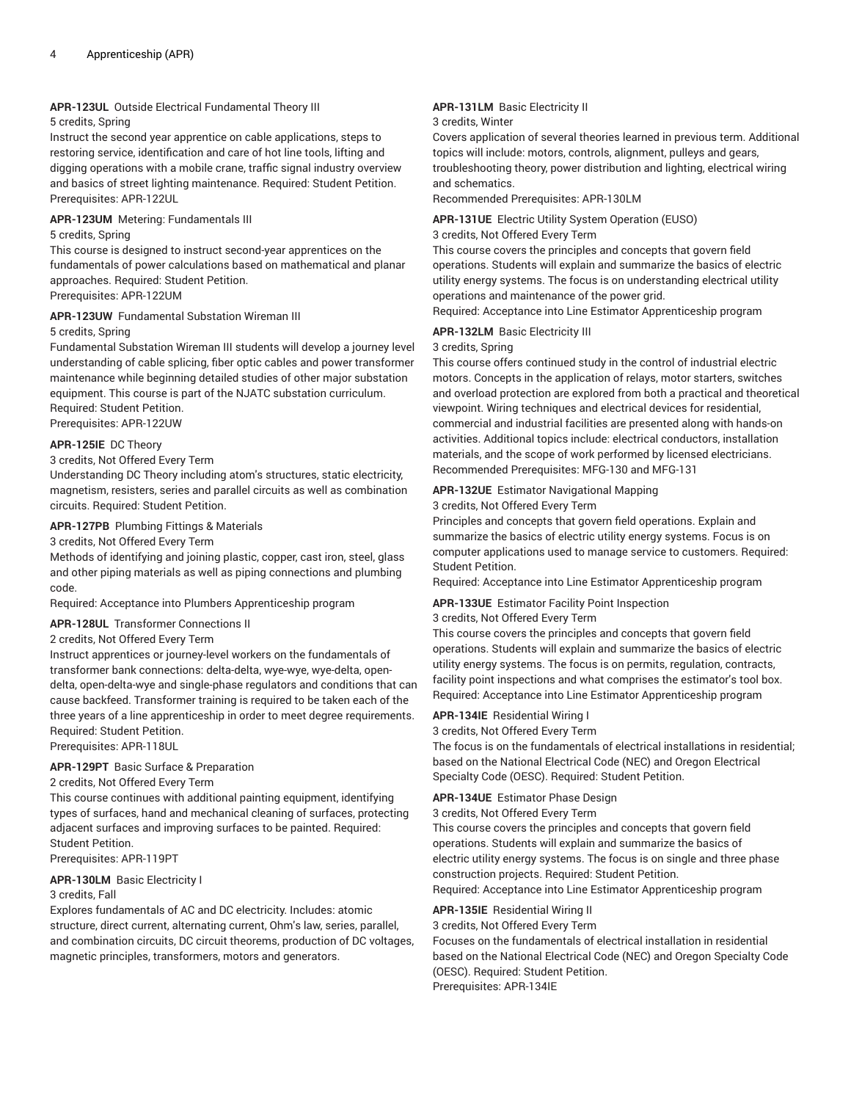# **APR-123UL** Outside Electrical Fundamental Theory III

### 5 credits, Spring

Instruct the second year apprentice on cable applications, steps to restoring service, identification and care of hot line tools, lifting and digging operations with a mobile crane, traffic signal industry overview and basics of street lighting maintenance. Required: Student Petition. Prerequisites: APR-122UL

### **APR-123UM** Metering: Fundamentals III

### 5 credits, Spring

This course is designed to instruct second-year apprentices on the fundamentals of power calculations based on mathematical and planar approaches. Required: Student Petition. Prerequisites: APR-122UM

### **APR-123UW** Fundamental Substation Wireman III

5 credits, Spring

Fundamental Substation Wireman III students will develop a journey level understanding of cable splicing, fiber optic cables and power transformer maintenance while beginning detailed studies of other major substation equipment. This course is part of the NJATC substation curriculum. Required: Student Petition.

Prerequisites: APR-122UW

# **APR-125IE** DC Theory

### 3 credits, Not Offered Every Term

Understanding DC Theory including atom's structures, static electricity, magnetism, resisters, series and parallel circuits as well as combination circuits. Required: Student Petition.

### **APR-127PB** Plumbing Fittings & Materials

### 3 credits, Not Offered Every Term

Methods of identifying and joining plastic, copper, cast iron, steel, glass and other piping materials as well as piping connections and plumbing code.

Required: Acceptance into Plumbers Apprenticeship program

### **APR-128UL** Transformer Connections II

### 2 credits, Not Offered Every Term

Instruct apprentices or journey-level workers on the fundamentals of transformer bank connections: delta-delta, wye-wye, wye-delta, opendelta, open-delta-wye and single-phase regulators and conditions that can cause backfeed. Transformer training is required to be taken each of the three years of a line apprenticeship in order to meet degree requirements. Required: Student Petition.

Prerequisites: APR-118UL

# **APR-129PT** Basic Surface & Preparation

### 2 credits, Not Offered Every Term

This course continues with additional painting equipment, identifying types of surfaces, hand and mechanical cleaning of surfaces, protecting adjacent surfaces and improving surfaces to be painted. Required: Student Petition.

Prerequisites: APR-119PT

### **APR-130LM** Basic Electricity I

# 3 credits, Fall

Explores fundamentals of AC and DC electricity. Includes: atomic structure, direct current, alternating current, Ohm's law, series, parallel, and combination circuits, DC circuit theorems, production of DC voltages, magnetic principles, transformers, motors and generators.

# **APR-131LM** Basic Electricity II

### 3 credits, Winter

Covers application of several theories learned in previous term. Additional topics will include: motors, controls, alignment, pulleys and gears, troubleshooting theory, power distribution and lighting, electrical wiring and schematics.

Recommended Prerequisites: APR-130LM

### **APR-131UE** Electric Utility System Operation (EUSO)

### 3 credits, Not Offered Every Term

This course covers the principles and concepts that govern field operations. Students will explain and summarize the basics of electric utility energy systems. The focus is on understanding electrical utility operations and maintenance of the power grid. Required: Acceptance into Line Estimator Apprenticeship program

### **APR-132LM** Basic Electricity III

### 3 credits, Spring

This course offers continued study in the control of industrial electric motors. Concepts in the application of relays, motor starters, switches and overload protection are explored from both a practical and theoretical viewpoint. Wiring techniques and electrical devices for residential, commercial and industrial facilities are presented along with hands-on activities. Additional topics include: electrical conductors, installation materials, and the scope of work performed by licensed electricians. Recommended Prerequisites: MFG-130 and MFG-131

### **APR-132UE** Estimator Navigational Mapping

3 credits, Not Offered Every Term

Principles and concepts that govern field operations. Explain and summarize the basics of electric utility energy systems. Focus is on computer applications used to manage service to customers. Required: Student Petition.

Required: Acceptance into Line Estimator Apprenticeship program

# **APR-133UE** Estimator Facility Point Inspection

# 3 credits, Not Offered Every Term

This course covers the principles and concepts that govern field operations. Students will explain and summarize the basics of electric utility energy systems. The focus is on permits, regulation, contracts, facility point inspections and what comprises the estimator's tool box. Required: Acceptance into Line Estimator Apprenticeship program

### **APR-134IE** Residential Wiring I

3 credits, Not Offered Every Term

The focus is on the fundamentals of electrical installations in residential; based on the National Electrical Code (NEC) and Oregon Electrical Specialty Code (OESC). Required: Student Petition.

### **APR-134UE** Estimator Phase Design

### 3 credits, Not Offered Every Term

This course covers the principles and concepts that govern field operations. Students will explain and summarize the basics of electric utility energy systems. The focus is on single and three phase construction projects. Required: Student Petition. Required: Acceptance into Line Estimator Apprenticeship program

### **APR-135IE** Residential Wiring II

3 credits, Not Offered Every Term

Focuses on the fundamentals of electrical installation in residential based on the National Electrical Code (NEC) and Oregon Specialty Code (OESC). Required: Student Petition. Prerequisites: APR-134IE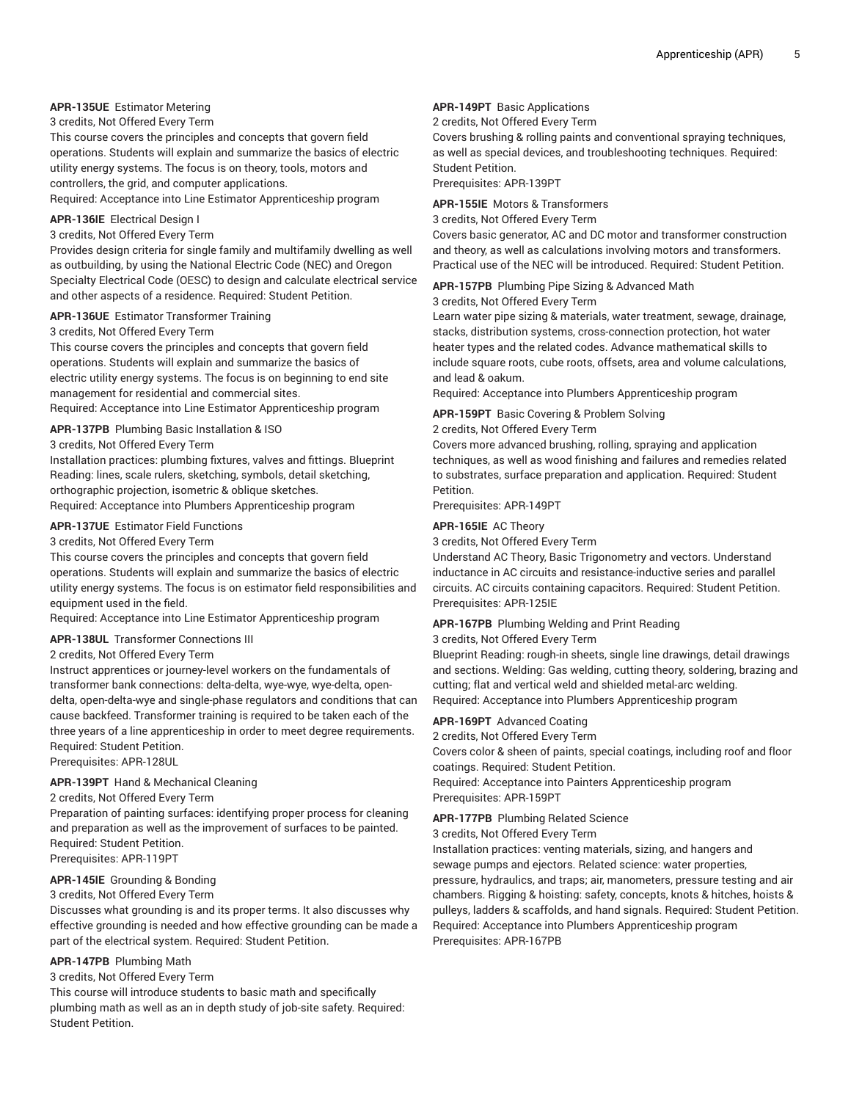# **APR-135UE** Estimator Metering

3 credits, Not Offered Every Term

This course covers the principles and concepts that govern field operations. Students will explain and summarize the basics of electric utility energy systems. The focus is on theory, tools, motors and controllers, the grid, and computer applications. Required: Acceptance into Line Estimator Apprenticeship program

**APR-136IE** Electrical Design I

# 3 credits, Not Offered Every Term

Provides design criteria for single family and multifamily dwelling as well as outbuilding, by using the National Electric Code (NEC) and Oregon Specialty Electrical Code (OESC) to design and calculate electrical service and other aspects of a residence. Required: Student Petition.

### **APR-136UE** Estimator Transformer Training

3 credits, Not Offered Every Term

This course covers the principles and concepts that govern field operations. Students will explain and summarize the basics of electric utility energy systems. The focus is on beginning to end site management for residential and commercial sites.

Required: Acceptance into Line Estimator Apprenticeship program

# **APR-137PB** Plumbing Basic Installation & ISO

3 credits, Not Offered Every Term

Installation practices: plumbing fixtures, valves and fittings. Blueprint Reading: lines, scale rulers, sketching, symbols, detail sketching, orthographic projection, isometric & oblique sketches. Required: Acceptance into Plumbers Apprenticeship program

### **APR-137UE** Estimator Field Functions

### 3 credits, Not Offered Every Term

This course covers the principles and concepts that govern field operations. Students will explain and summarize the basics of electric utility energy systems. The focus is on estimator field responsibilities and equipment used in the field.

Required: Acceptance into Line Estimator Apprenticeship program

### **APR-138UL** Transformer Connections III

### 2 credits, Not Offered Every Term

Instruct apprentices or journey-level workers on the fundamentals of transformer bank connections: delta-delta, wye-wye, wye-delta, opendelta, open-delta-wye and single-phase regulators and conditions that can cause backfeed. Transformer training is required to be taken each of the three years of a line apprenticeship in order to meet degree requirements. Required: Student Petition.

Prerequisites: APR-128UL

### **APR-139PT** Hand & Mechanical Cleaning

# 2 credits, Not Offered Every Term

Preparation of painting surfaces: identifying proper process for cleaning and preparation as well as the improvement of surfaces to be painted. Required: Student Petition. Prerequisites: APR-119PT

### **APR-145IE** Grounding & Bonding

### 3 credits, Not Offered Every Term

Discusses what grounding is and its proper terms. It also discusses why effective grounding is needed and how effective grounding can be made a part of the electrical system. Required: Student Petition.

### **APR-147PB** Plumbing Math

3 credits, Not Offered Every Term

This course will introduce students to basic math and specifically plumbing math as well as an in depth study of job-site safety. Required: Student Petition.

### **APR-149PT** Basic Applications

2 credits, Not Offered Every Term

Covers brushing & rolling paints and conventional spraying techniques, as well as special devices, and troubleshooting techniques. Required: Student Petition.

Prerequisites: APR-139PT

# **APR-155IE** Motors & Transformers

3 credits, Not Offered Every Term Covers basic generator, AC and DC motor and transformer construction and theory, as well as calculations involving motors and transformers. Practical use of the NEC will be introduced. Required: Student Petition.

### **APR-157PB** Plumbing Pipe Sizing & Advanced Math

3 credits, Not Offered Every Term

Learn water pipe sizing & materials, water treatment, sewage, drainage, stacks, distribution systems, cross-connection protection, hot water heater types and the related codes. Advance mathematical skills to include square roots, cube roots, offsets, area and volume calculations, and lead & oakum.

Required: Acceptance into Plumbers Apprenticeship program

### **APR-159PT** Basic Covering & Problem Solving

### 2 credits, Not Offered Every Term

Covers more advanced brushing, rolling, spraying and application techniques, as well as wood finishing and failures and remedies related to substrates, surface preparation and application. Required: Student Petition.

Prerequisites: APR-149PT

### **APR-165IE** AC Theory

3 credits, Not Offered Every Term

Understand AC Theory, Basic Trigonometry and vectors. Understand inductance in AC circuits and resistance-inductive series and parallel circuits. AC circuits containing capacitors. Required: Student Petition. Prerequisites: APR-125IE

### **APR-167PB** Plumbing Welding and Print Reading

3 credits, Not Offered Every Term

Blueprint Reading: rough-in sheets, single line drawings, detail drawings and sections. Welding: Gas welding, cutting theory, soldering, brazing and cutting; flat and vertical weld and shielded metal-arc welding. Required: Acceptance into Plumbers Apprenticeship program

### **APR-169PT** Advanced Coating

2 credits, Not Offered Every Term

Covers color & sheen of paints, special coatings, including roof and floor coatings. Required: Student Petition.

Required: Acceptance into Painters Apprenticeship program Prerequisites: APR-159PT

### **APR-177PB** Plumbing Related Science

3 credits, Not Offered Every Term

Installation practices: venting materials, sizing, and hangers and sewage pumps and ejectors. Related science: water properties, pressure, hydraulics, and traps; air, manometers, pressure testing and air chambers. Rigging & hoisting: safety, concepts, knots & hitches, hoists & pulleys, ladders & scaffolds, and hand signals. Required: Student Petition. Required: Acceptance into Plumbers Apprenticeship program Prerequisites: APR-167PB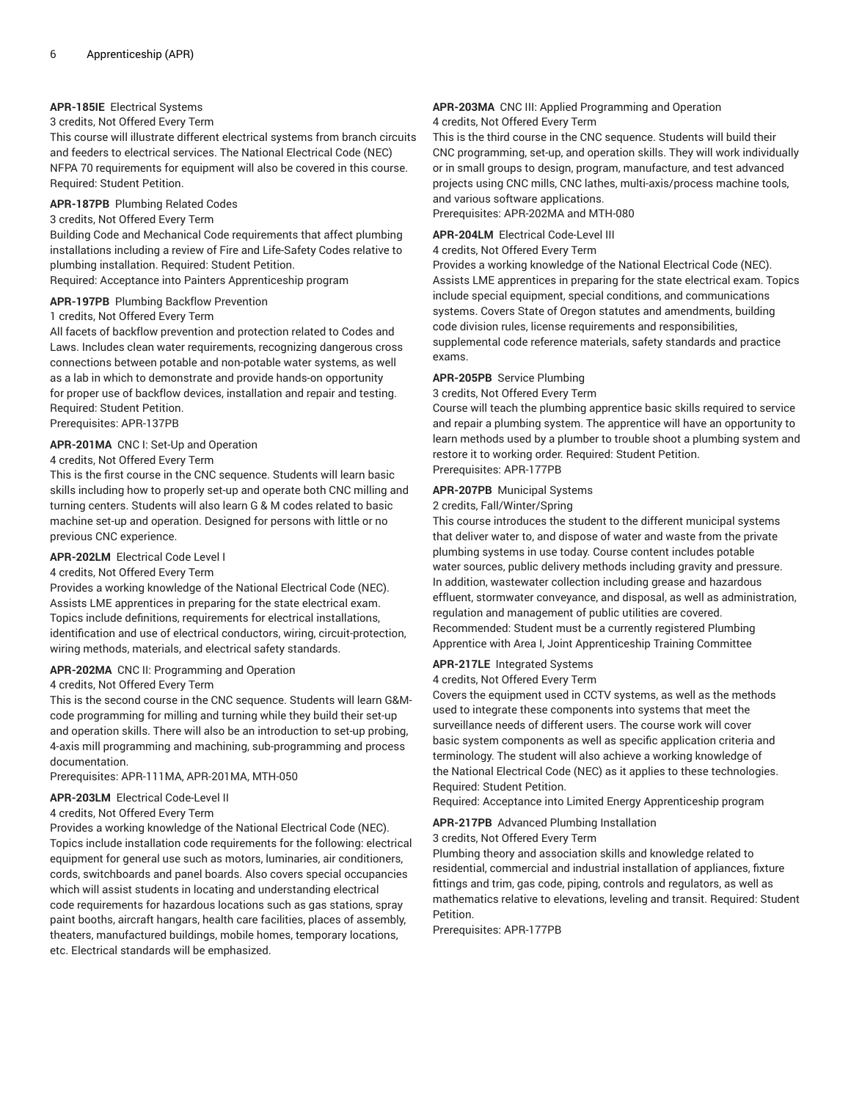# **APR-185IE** Electrical Systems

# 3 credits, Not Offered Every Term

This course will illustrate different electrical systems from branch circuits and feeders to electrical services. The National Electrical Code (NEC) NFPA 70 requirements for equipment will also be covered in this course. Required: Student Petition.

# **APR-187PB** Plumbing Related Codes

# 3 credits, Not Offered Every Term

Building Code and Mechanical Code requirements that affect plumbing installations including a review of Fire and Life-Safety Codes relative to plumbing installation. Required: Student Petition.

Required: Acceptance into Painters Apprenticeship program

# **APR-197PB** Plumbing Backflow Prevention

# 1 credits, Not Offered Every Term

All facets of backflow prevention and protection related to Codes and Laws. Includes clean water requirements, recognizing dangerous cross connections between potable and non-potable water systems, as well as a lab in which to demonstrate and provide hands-on opportunity for proper use of backflow devices, installation and repair and testing. Required: Student Petition.

Prerequisites: APR-137PB

# **APR-201MA** CNC I: Set-Up and Operation

# 4 credits, Not Offered Every Term

This is the first course in the CNC sequence. Students will learn basic skills including how to properly set-up and operate both CNC milling and turning centers. Students will also learn G & M codes related to basic machine set-up and operation. Designed for persons with little or no previous CNC experience.

### **APR-202LM** Electrical Code Level I

# 4 credits, Not Offered Every Term

Provides a working knowledge of the National Electrical Code (NEC). Assists LME apprentices in preparing for the state electrical exam. Topics include definitions, requirements for electrical installations, identification and use of electrical conductors, wiring, circuit-protection, wiring methods, materials, and electrical safety standards.

### **APR-202MA** CNC II: Programming and Operation

### 4 credits, Not Offered Every Term

This is the second course in the CNC sequence. Students will learn G&Mcode programming for milling and turning while they build their set-up and operation skills. There will also be an introduction to set-up probing, 4-axis mill programming and machining, sub-programming and process documentation.

### Prerequisites: APR-111MA, APR-201MA, MTH-050

# **APR-203LM** Electrical Code-Level II

### 4 credits, Not Offered Every Term

Provides a working knowledge of the National Electrical Code (NEC). Topics include installation code requirements for the following: electrical equipment for general use such as motors, luminaries, air conditioners, cords, switchboards and panel boards. Also covers special occupancies which will assist students in locating and understanding electrical code requirements for hazardous locations such as gas stations, spray paint booths, aircraft hangars, health care facilities, places of assembly, theaters, manufactured buildings, mobile homes, temporary locations, etc. Electrical standards will be emphasized.

### **APR-203MA** CNC III: Applied Programming and Operation 4 credits, Not Offered Every Term

This is the third course in the CNC sequence. Students will build their CNC programming, set-up, and operation skills. They will work individually or in small groups to design, program, manufacture, and test advanced projects using CNC mills, CNC lathes, multi-axis/process machine tools, and various software applications.

# Prerequisites: APR-202MA and MTH-080

### **APR-204LM** Electrical Code-Level III

4 credits, Not Offered Every Term

Provides a working knowledge of the National Electrical Code (NEC). Assists LME apprentices in preparing for the state electrical exam. Topics include special equipment, special conditions, and communications systems. Covers State of Oregon statutes and amendments, building code division rules, license requirements and responsibilities, supplemental code reference materials, safety standards and practice exams.

### **APR-205PB** Service Plumbing

3 credits, Not Offered Every Term

Course will teach the plumbing apprentice basic skills required to service and repair a plumbing system. The apprentice will have an opportunity to learn methods used by a plumber to trouble shoot a plumbing system and restore it to working order. Required: Student Petition. Prerequisites: APR-177PB

### **APR-207PB** Municipal Systems

### 2 credits, Fall/Winter/Spring

This course introduces the student to the different municipal systems that deliver water to, and dispose of water and waste from the private plumbing systems in use today. Course content includes potable water sources, public delivery methods including gravity and pressure. In addition, wastewater collection including grease and hazardous effluent, stormwater conveyance, and disposal, as well as administration, regulation and management of public utilities are covered. Recommended: Student must be a currently registered Plumbing Apprentice with Area I, Joint Apprenticeship Training Committee

### **APR-217LE** Integrated Systems

### 4 credits, Not Offered Every Term

Covers the equipment used in CCTV systems, as well as the methods used to integrate these components into systems that meet the surveillance needs of different users. The course work will cover basic system components as well as specific application criteria and terminology. The student will also achieve a working knowledge of the National Electrical Code (NEC) as it applies to these technologies. Required: Student Petition.

Required: Acceptance into Limited Energy Apprenticeship program

### **APR-217PB** Advanced Plumbing Installation

### 3 credits, Not Offered Every Term

Plumbing theory and association skills and knowledge related to residential, commercial and industrial installation of appliances, fixture fittings and trim, gas code, piping, controls and regulators, as well as mathematics relative to elevations, leveling and transit. Required: Student Petition.

Prerequisites: APR-177PB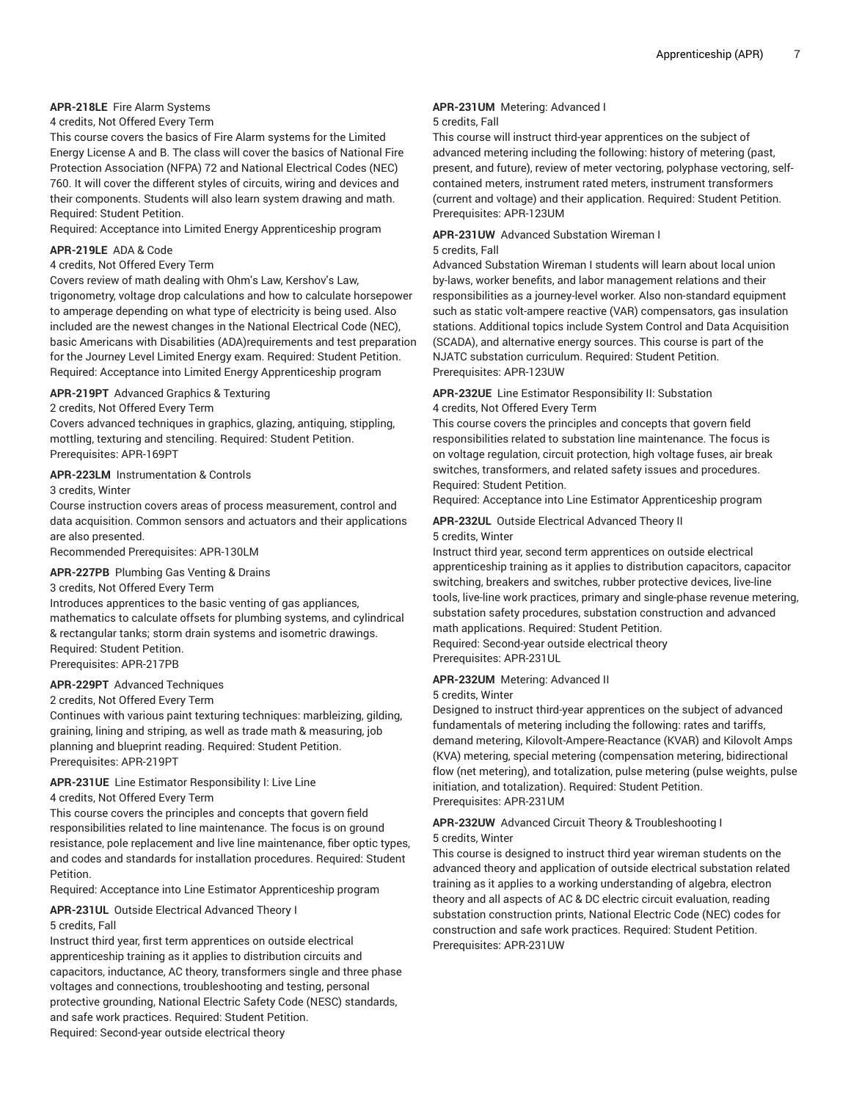# **APR-218LE** Fire Alarm Systems

4 credits, Not Offered Every Term

This course covers the basics of Fire Alarm systems for the Limited Energy License A and B. The class will cover the basics of National Fire Protection Association (NFPA) 72 and National Electrical Codes (NEC) 760. It will cover the different styles of circuits, wiring and devices and their components. Students will also learn system drawing and math. Required: Student Petition.

Required: Acceptance into Limited Energy Apprenticeship program

## **APR-219LE** ADA & Code

### 4 credits, Not Offered Every Term

Covers review of math dealing with Ohm's Law, Kershov's Law, trigonometry, voltage drop calculations and how to calculate horsepower to amperage depending on what type of electricity is being used. Also included are the newest changes in the National Electrical Code (NEC), basic Americans with Disabilities (ADA)requirements and test preparation for the Journey Level Limited Energy exam. Required: Student Petition. Required: Acceptance into Limited Energy Apprenticeship program

### **APR-219PT** Advanced Graphics & Texturing

### 2 credits, Not Offered Every Term

Covers advanced techniques in graphics, glazing, antiquing, stippling, mottling, texturing and stenciling. Required: Student Petition. Prerequisites: APR-169PT

### **APR-223LM** Instrumentation & Controls

3 credits, Winter

Course instruction covers areas of process measurement, control and data acquisition. Common sensors and actuators and their applications are also presented.

Recommended Prerequisites: APR-130LM

### **APR-227PB** Plumbing Gas Venting & Drains

### 3 credits, Not Offered Every Term

Introduces apprentices to the basic venting of gas appliances, mathematics to calculate offsets for plumbing systems, and cylindrical & rectangular tanks; storm drain systems and isometric drawings. Required: Student Petition. Prerequisites: APR-217PB

### **APR-229PT** Advanced Techniques

2 credits, Not Offered Every Term

Continues with various paint texturing techniques: marbleizing, gilding, graining, lining and striping, as well as trade math & measuring, job planning and blueprint reading. Required: Student Petition. Prerequisites: APR-219PT

# **APR-231UE** Line Estimator Responsibility I: Live Line

### 4 credits, Not Offered Every Term

This course covers the principles and concepts that govern field responsibilities related to line maintenance. The focus is on ground resistance, pole replacement and live line maintenance, fiber optic types, and codes and standards for installation procedures. Required: Student Petition.

Required: Acceptance into Line Estimator Apprenticeship program

### **APR-231UL** Outside Electrical Advanced Theory I 5 credits, Fall

Instruct third year, first term apprentices on outside electrical apprenticeship training as it applies to distribution circuits and capacitors, inductance, AC theory, transformers single and three phase voltages and connections, troubleshooting and testing, personal protective grounding, National Electric Safety Code (NESC) standards, and safe work practices. Required: Student Petition. Required: Second-year outside electrical theory

# **APR-231UM** Metering: Advanced I

### 5 credits, Fall

This course will instruct third-year apprentices on the subject of advanced metering including the following: history of metering (past, present, and future), review of meter vectoring, polyphase vectoring, selfcontained meters, instrument rated meters, instrument transformers (current and voltage) and their application. Required: Student Petition. Prerequisites: APR-123UM

### **APR-231UW** Advanced Substation Wireman I

# 5 credits, Fall

Advanced Substation Wireman I students will learn about local union by-laws, worker benefits, and labor management relations and their responsibilities as a journey-level worker. Also non-standard equipment such as static volt-ampere reactive (VAR) compensators, gas insulation stations. Additional topics include System Control and Data Acquisition (SCADA), and alternative energy sources. This course is part of the NJATC substation curriculum. Required: Student Petition. Prerequisites: APR-123UW

# **APR-232UE** Line Estimator Responsibility II: Substation 4 credits, Not Offered Every Term

This course covers the principles and concepts that govern field responsibilities related to substation line maintenance. The focus is on voltage regulation, circuit protection, high voltage fuses, air break switches, transformers, and related safety issues and procedures. Required: Student Petition.

Required: Acceptance into Line Estimator Apprenticeship program

# **APR-232UL** Outside Electrical Advanced Theory II 5 credits, Winter

Instruct third year, second term apprentices on outside electrical apprenticeship training as it applies to distribution capacitors, capacitor switching, breakers and switches, rubber protective devices, live-line tools, live-line work practices, primary and single-phase revenue metering, substation safety procedures, substation construction and advanced math applications. Required: Student Petition. Required: Second-year outside electrical theory

Prerequisites: APR-231UL

### **APR-232UM** Metering: Advanced II

### 5 credits, Winter

Designed to instruct third-year apprentices on the subject of advanced fundamentals of metering including the following: rates and tariffs, demand metering, Kilovolt-Ampere-Reactance (KVAR) and Kilovolt Amps (KVA) metering, special metering (compensation metering, bidirectional flow (net metering), and totalization, pulse metering (pulse weights, pulse initiation, and totalization). Required: Student Petition. Prerequisites: APR-231UM

# **APR-232UW** Advanced Circuit Theory & Troubleshooting I

# 5 credits, Winter

This course is designed to instruct third year wireman students on the advanced theory and application of outside electrical substation related training as it applies to a working understanding of algebra, electron theory and all aspects of AC & DC electric circuit evaluation, reading substation construction prints, National Electric Code (NEC) codes for construction and safe work practices. Required: Student Petition. Prerequisites: APR-231UW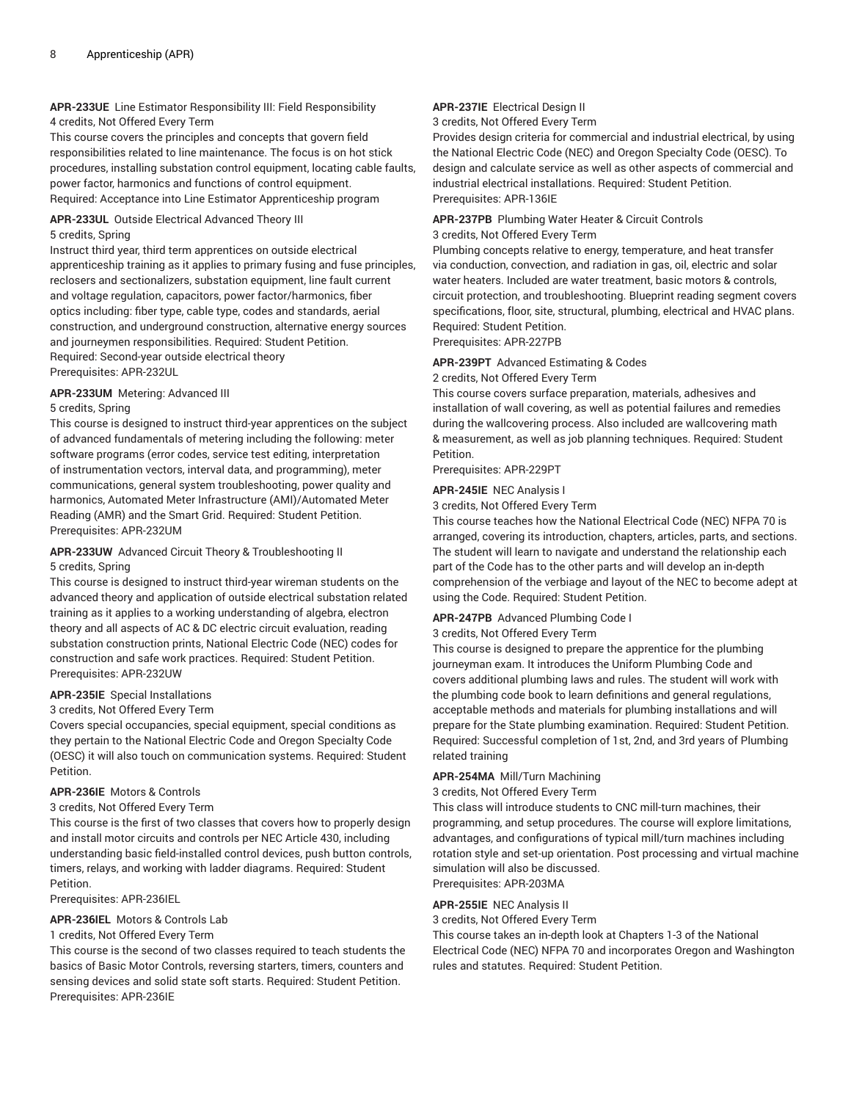# **APR-233UE** Line Estimator Responsibility III: Field Responsibility 4 credits, Not Offered Every Term

This course covers the principles and concepts that govern field responsibilities related to line maintenance. The focus is on hot stick procedures, installing substation control equipment, locating cable faults, power factor, harmonics and functions of control equipment. Required: Acceptance into Line Estimator Apprenticeship program

### **APR-233UL** Outside Electrical Advanced Theory III 5 credits, Spring

Instruct third year, third term apprentices on outside electrical apprenticeship training as it applies to primary fusing and fuse principles, reclosers and sectionalizers, substation equipment, line fault current and voltage regulation, capacitors, power factor/harmonics, fiber optics including: fiber type, cable type, codes and standards, aerial construction, and underground construction, alternative energy sources and journeymen responsibilities. Required: Student Petition. Required: Second-year outside electrical theory Prerequisites: APR-232UL

### **APR-233UM** Metering: Advanced III

# 5 credits, Spring

This course is designed to instruct third-year apprentices on the subject of advanced fundamentals of metering including the following: meter software programs (error codes, service test editing, interpretation of instrumentation vectors, interval data, and programming), meter communications, general system troubleshooting, power quality and harmonics, Automated Meter Infrastructure (AMI)/Automated Meter Reading (AMR) and the Smart Grid. Required: Student Petition. Prerequisites: APR-232UM

# **APR-233UW** Advanced Circuit Theory & Troubleshooting II

# 5 credits, Spring

This course is designed to instruct third-year wireman students on the advanced theory and application of outside electrical substation related training as it applies to a working understanding of algebra, electron theory and all aspects of AC & DC electric circuit evaluation, reading substation construction prints, National Electric Code (NEC) codes for construction and safe work practices. Required: Student Petition. Prerequisites: APR-232UW

# **APR-235IE** Special Installations

### 3 credits, Not Offered Every Term

Covers special occupancies, special equipment, special conditions as they pertain to the National Electric Code and Oregon Specialty Code (OESC) it will also touch on communication systems. Required: Student Petition.

### **APR-236IE** Motors & Controls

### 3 credits, Not Offered Every Term

This course is the first of two classes that covers how to properly design and install motor circuits and controls per NEC Article 430, including understanding basic field-installed control devices, push button controls, timers, relays, and working with ladder diagrams. Required: Student Petition.

Prerequisites: APR-236IEL

# **APR-236IEL** Motors & Controls Lab

# 1 credits, Not Offered Every Term

This course is the second of two classes required to teach students the basics of Basic Motor Controls, reversing starters, timers, counters and sensing devices and solid state soft starts. Required: Student Petition. Prerequisites: APR-236IE

# **APR-237IE** Electrical Design II

3 credits, Not Offered Every Term

Provides design criteria for commercial and industrial electrical, by using the National Electric Code (NEC) and Oregon Specialty Code (OESC). To design and calculate service as well as other aspects of commercial and industrial electrical installations. Required: Student Petition. Prerequisites: APR-136IE

# **APR-237PB** Plumbing Water Heater & Circuit Controls

### 3 credits, Not Offered Every Term

Plumbing concepts relative to energy, temperature, and heat transfer via conduction, convection, and radiation in gas, oil, electric and solar water heaters. Included are water treatment, basic motors & controls, circuit protection, and troubleshooting. Blueprint reading segment covers specifications, floor, site, structural, plumbing, electrical and HVAC plans. Required: Student Petition.

Prerequisites: APR-227PB

### **APR-239PT** Advanced Estimating & Codes

2 credits, Not Offered Every Term

This course covers surface preparation, materials, adhesives and installation of wall covering, as well as potential failures and remedies during the wallcovering process. Also included are wallcovering math & measurement, as well as job planning techniques. Required: Student Petition.

Prerequisites: APR-229PT

### **APR-245IE** NEC Analysis I

3 credits, Not Offered Every Term

This course teaches how the National Electrical Code (NEC) NFPA 70 is arranged, covering its introduction, chapters, articles, parts, and sections. The student will learn to navigate and understand the relationship each part of the Code has to the other parts and will develop an in-depth comprehension of the verbiage and layout of the NEC to become adept at using the Code. Required: Student Petition.

# **APR-247PB** Advanced Plumbing Code I

### 3 credits, Not Offered Every Term

This course is designed to prepare the apprentice for the plumbing journeyman exam. It introduces the Uniform Plumbing Code and covers additional plumbing laws and rules. The student will work with the plumbing code book to learn definitions and general regulations, acceptable methods and materials for plumbing installations and will prepare for the State plumbing examination. Required: Student Petition. Required: Successful completion of 1st, 2nd, and 3rd years of Plumbing related training

### **APR-254MA** Mill/Turn Machining

3 credits, Not Offered Every Term

This class will introduce students to CNC mill-turn machines, their programming, and setup procedures. The course will explore limitations, advantages, and configurations of typical mill/turn machines including rotation style and set-up orientation. Post processing and virtual machine simulation will also be discussed. Prerequisites: APR-203MA

### **APR-255IE** NEC Analysis II

3 credits, Not Offered Every Term

This course takes an in-depth look at Chapters 1-3 of the National Electrical Code (NEC) NFPA 70 and incorporates Oregon and Washington rules and statutes. Required: Student Petition.